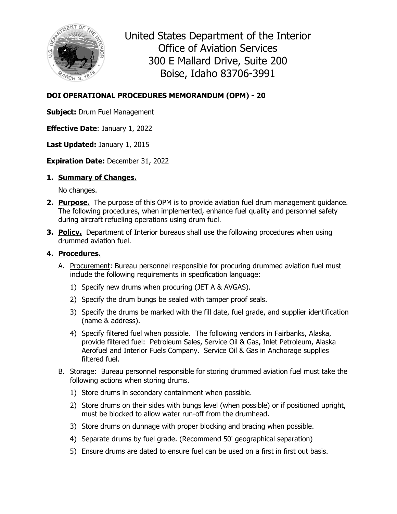

United States Department of the Interior Office of Aviation Services 300 E Mallard Drive, Suite 200 Boise, Idaho 83706-3991

## **DOI OPERATIONAL PROCEDURES MEMORANDUM (OPM) - 20**

**Subject:** Drum Fuel Management

**Effective Date**: January 1, 2022

**Last Updated:** January 1, 2015

**Expiration Date:** December 31, 2022

## **1. Summary of Changes.**

No changes.

- **2. Purpose.** The purpose of this OPM is to provide aviation fuel drum management guidance. The following procedures, when implemented, enhance fuel quality and personnel safety during aircraft refueling operations using drum fuel.
- **3. Policy.** Department of Interior bureaus shall use the following procedures when using drummed aviation fuel.

## **4. Procedures.**

- A. Procurement: Bureau personnel responsible for procuring drummed aviation fuel must include the following requirements in specification language:
	- 1) Specify new drums when procuring (JET A & AVGAS).
	- 2) Specify the drum bungs be sealed with tamper proof seals.
	- 3) Specify the drums be marked with the fill date, fuel grade, and supplier identification (name & address).
	- 4) Specify filtered fuel when possible. The following vendors in Fairbanks, Alaska, provide filtered fuel: Petroleum Sales, Service Oil & Gas, Inlet Petroleum, Alaska Aerofuel and Interior Fuels Company. Service Oil & Gas in Anchorage supplies filtered fuel.
- B. Storage: Bureau personnel responsible for storing drummed aviation fuel must take the following actions when storing drums.
	- 1) Store drums in secondary containment when possible.
	- 2) Store drums on their sides with bungs level (when possible) or if positioned upright, must be blocked to allow water run-off from the drumhead.
	- 3) Store drums on dunnage with proper blocking and bracing when possible.
	- 4) Separate drums by fuel grade. (Recommend 50' geographical separation)
	- 5) Ensure drums are dated to ensure fuel can be used on a first in first out basis.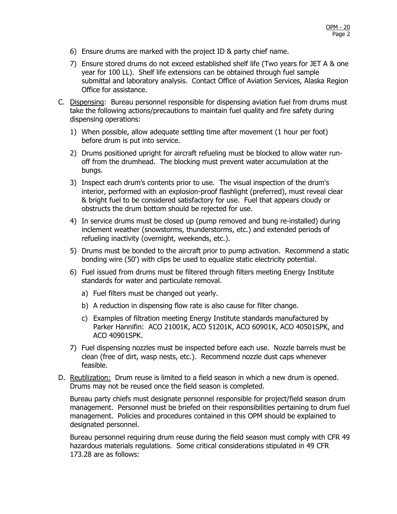- 6) Ensure drums are marked with the project ID & party chief name.
- 7) Ensure stored drums do not exceed established shelf life (Two years for JET A & one year for 100 LL). Shelf life extensions can be obtained through fuel sample submittal and laboratory analysis. Contact Office of Aviation Services, Alaska Region Office for assistance.
- C. Dispensing: Bureau personnel responsible for dispensing aviation fuel from drums must take the following actions/precautions to maintain fuel quality and fire safety during dispensing operations:
	- 1) When possible, allow adequate settling time after movement (1 hour per foot) before drum is put into service.
	- 2) Drums positioned upright for aircraft refueling must be blocked to allow water runoff from the drumhead. The blocking must prevent water accumulation at the bungs.
	- 3) Inspect each drum's contents prior to use. The visual inspection of the drum's interior, performed with an explosion-proof flashlight (preferred), must reveal clear & bright fuel to be considered satisfactory for use. Fuel that appears cloudy or obstructs the drum bottom should be rejected for use.
	- 4) In service drums must be closed up (pump removed and bung re-installed) during inclement weather (snowstorms, thunderstorms, etc.) and extended periods of refueling inactivity (overnight, weekends, etc.).
	- 5) Drums must be bonded to the aircraft prior to pump activation. Recommend a static bonding wire (50') with clips be used to equalize static electricity potential.
	- 6) Fuel issued from drums must be filtered through filters meeting Energy Institute standards for water and particulate removal.
		- a) Fuel filters must be changed out yearly.
		- b) A reduction in dispensing flow rate is also cause for filter change.
		- c) Examples of filtration meeting Energy Institute standards manufactured by Parker Hannifin: ACO 21001K, ACO 51201K, ACO 60901K, ACO 40501SPK, and ACO 40901SPK.
	- 7) Fuel dispensing nozzles must be inspected before each use. Nozzle barrels must be clean (free of dirt, wasp nests, etc.). Recommend nozzle dust caps whenever feasible.
- D. Reutilization: Drum reuse is limited to a field season in which a new drum is opened. Drums may not be reused once the field season is completed.

Bureau party chiefs must designate personnel responsible for project/field season drum management. Personnel must be briefed on their responsibilities pertaining to drum fuel management. Policies and procedures contained in this OPM should be explained to designated personnel.

Bureau personnel requiring drum reuse during the field season must comply with CFR 49 hazardous materials regulations. Some critical considerations stipulated in 49 CFR 173.28 are as follows: